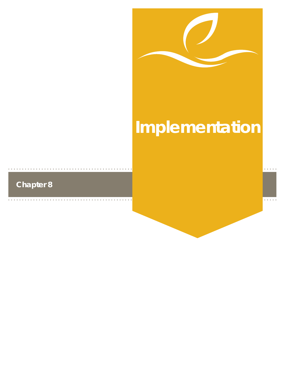

# **Implementation**

# **Chapter 8**

 $\alpha$  ,  $\alpha$  ,  $\alpha$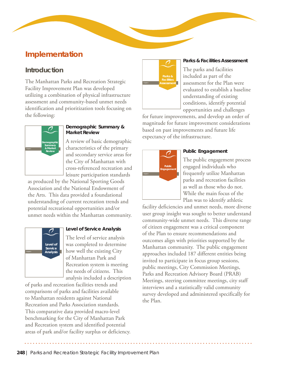## **Implementation**

## **Introduction**

The Manhattan Parks and Recreation Strategic Facility Improvement Plan was developed utilizing a combination of physical infrastructure assessment and community-based unmet needs identification and prioritization tools focusing on the following:



#### **Demographic Summary & Market Review**

A review of basic demographic characteristics of the primary and secondary service areas for the City of Manhattan with cross-referenced recreation and leisure participation standards

as produced by the National Sporting Goods Association and the National Endowment of the Arts. This data provided a foundational understanding of current recreation trends and potential recreational opportunities and/or unmet needs within the Manhattan community.



#### **Level of Service Analysis**

The level of service analysis was completed to determine how well the existing City of Manhattan Park and Recreation system is meeting the needs of citizens. This analysis included a description

of parks and recreation facilities trends and comparisons of parks and facilities available to Manhattan residents against National Recreation and Parks Association standards. This comparative data provided macro-level benchmarking for the City of Manhattan Park and Recreation system and identified potential areas of park and/or facility surplus or deficiency.



#### **Parks & Facilities Assessment**

The parks and facilities included as part of the assessment for the Plan were evaluated to establish a baseline understanding of existing conditions, identify potential opportunities and challenges

for future improvements, and develop an order of magnitude for future improvement considerations based on past improvements and future life expectancy of the infrastructure.



#### **Public Engagement**

The public engagement process engaged individuals who frequently utilize Manhattan parks and recreation facilities as well as those who do not. While the main focus of the Plan was to identify athletic

facility deficiencies and unmet needs, more diverse user group insight was sought to better understand community-wide unmet needs. This diverse range of citizen engagement was a critical component of the Plan to ensure recommendations and outcomes align with priorities supported by the Manhattan community. The public engagement approaches included 187 different entities being invited to participate in focus group sessions, public meetings, City Commission Meetings, Parks and Recreation Advisory Board (PRAB) Meetings, steering committee meetings, city staff interviews and a statistically valid community survey developed and administered specifically for the Plan.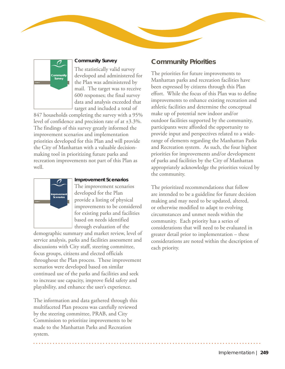

#### **Community Survey**

The statistically valid survey developed and administered for the Plan was administered by mail. The target was to receive 600 responses; the final survey data and analysis exceeded that target and included a total of

847 households completing the survey with a 95% level of confidence and precision rate of at ±3.3%. The findings of this survey greatly informed the improvement scenarios and implementation priorities developed for this Plan and will provide the City of Manhattan with a valuable decisionmaking tool in prioritizing future parks and recreation improvements not part of this Plan as well.



#### **Improvement Scenarios**

The improvement scenarios developed for the Plan provide a listing of physical improvements to be considered for existing parks and facilities based on needs identified through evaluation of the

demographic summary and market review, level of service analysis, parks and facilities assessment and discussions with City staff, steering committee, focus groups, citizens and elected officials throughout the Plan process. These improvement scenarios were developed based on similar continued use of the parks and facilities and seek to increase use capacity, improve field safety and playability, and enhance the user's experience.

The information and data gathered through this multifaceted Plan process was carefully reviewed by the steering committee, PRAB, and City Commission to prioritize improvements to be made to the Manhattan Parks and Recreation system.

## **Community Priorities**

The priorities for future improvements to Manhattan parks and recreation facilities have been expressed by citizens through this Plan effort. While the focus of this Plan was to define improvements to enhance existing recreation and athletic facilities and determine the conceptual make up of potential new indoor and/or outdoor facilities supported by the community, participants were afforded the opportunity to provide input and perspectives related to a widerange of elements regarding the Manhattan Parks and Recreation system. As such, the four highest priorities for improvements and/or development of parks and facilities by the City of Manhattan appropriately acknowledge the priorities voiced by the community.

The prioritized recommendations that follow are intended to be a guideline for future decision making and may need to be updated, altered, or otherwise modified to adapt to evolving circumstances and unmet needs within the community. Each priority has a series of considerations that will need to be evaluated in greater detail prior to implementation – these considerations are noted within the description of each priority.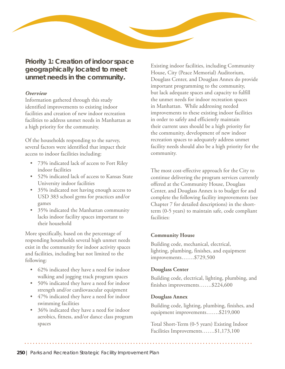

**Priority 1: Creation of indoor space geographically located to meet unmet needs in the community.**

#### *Overview*

Information gathered through this study identified improvements to existing indoor facilities and creation of new indoor recreation facilities to address unmet needs in Manhattan as a high priority for the community.

Of the households responding to the survey, several factors were identified that impact their access to indoor facilities including:

- 73% indicated lack of access to Fort Riley indoor facilities
- 52% indicated lack of access to Kansas State University indoor facilities
- 35% indicated not having enough access to USD 383 school gyms for practices and/or games
- 35% indicated the Manhattan community lacks indoor facility spaces important to their household

More specifically, based on the percentage of responding households several high unmet needs exist in the community for indoor activity spaces and facilities, including but not limited to the following:

- 62% indicated they have a need for indoor walking and jogging track program spaces
- 50% indicated they have a need for indoor strength and/or cardiovascular equipment
- 47% indicated they have a need for indoor swimming facilities
- 36% indicated they have a need for indoor aerobics, fitness, and/or dance class program spaces

Existing indoor facilities, including Community House, City (Peace Memorial) Auditorium, Douglass Center, and Douglass Annex do provide important programming to the community, but lack adequate spaces and capacity to fulfill the unmet needs for indoor recreation spaces in Manhattan. While addressing needed improvements to these existing indoor facilities in order to safely and efficiently maintain their current uses should be a high priority for the community, development of new indoor recreation spaces to adequately address unmet facility needs should also be a high priority for the community.

The most cost-effective approach for the City to continue delivering the program services currently offered at the Community House, Douglass Center, and Douglass Annex is to budget for and complete the following facility improvements (see Chapter 7 for detailed descriptions) in the shortterm (0-5 years) to maintain safe, code compliant facilities:

#### **Community House**

Building code, mechanical, electrical, lighting, plumbing, finishes, and equipment improvements…….\$729,500

#### **Douglass Center**

Building code, electrical, lighting, plumbing, and finishes improvements…….\$224,600

#### **Douglass Annex**

Building code, lighting, plumbing, finishes, and equipment improvements…….\$219,000

Total Short-Term (0-5 years) Existing Indoor Facilities Improvements…….\$1,173,100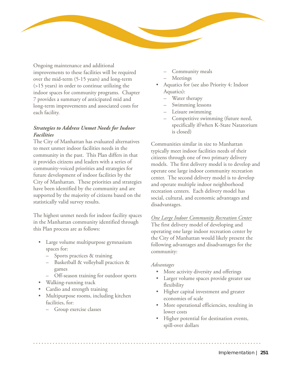

Ongoing maintenance and additional improvements to these facilities will be required over the mid-term (5-15 years) and long-term (>15 years) in order to continue utilizing the indoor spaces for community programs. Chapter 7 provides a summary of anticipated mid and long-term improvements and associated costs for each facility.

#### *Strategies to Address Unmet Needs for Indoor Facilities*

The City of Manhattan has evaluated alternatives to meet unmet indoor facilities needs in the community in the past. This Plan differs in that it provides citizens and leaders with a series of community-voiced priorities and strategies for future development of indoor facilities by the City of Manhattan. These priorities and strategies have been identified by the community and are supported by the majority of citizens based on the statistically valid survey results.

The highest unmet needs for indoor facility spaces in the Manhattan community identified through this Plan process are as follows:

- Large volume multipurpose gymnasium spaces for:
	- Sports practices & training
	- Basketball & volleyball practices & games
	- Off-season training for outdoor sports
- Walking-running track
- Cardio and strength training
- Multipurpose rooms, including kitchen facilities, for:
	- Group exercise classes
- Community meals
- Meetings
- Aquatics for (see also Priority 4: Indoor Aquatics):
	- Water therapy
	- Swimming lessons
	- Leisure swimming
	- Competitive swimming (future need, specifically if/when K-State Natatorium is closed)

Communities similar in size to Manhattan typically meet indoor facilities needs of their citizens through one of two primary delivery models. The first delivery model is to develop and operate one large indoor community recreation center. The second delivery model is to develop and operate multiple indoor neighborhood recreation centers. Each delivery model has social, cultural, and economic advantages and disadvantages.

*One Large Indoor Community Recreation Center* The first delivery model of developing and operating one large indoor recreation center by the City of Manhattan would likely present the following advantages and disadvantages for the community:

#### *Advantages*

- More activity diversity and offerings
- Larger volume spaces provide greater use flexibility
- Higher capital investment and greater economies of scale
- More operational efficiencies, resulting in lower costs
- Higher potential for destination events, spill-over dollars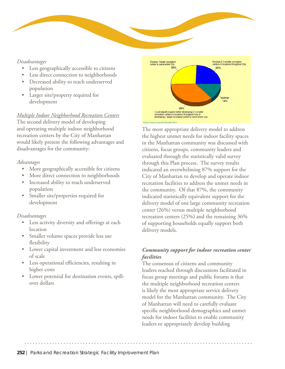

- Less geographically accessible to citizens
- Less direct connection to neighborhoods
- Decreased ability to reach underserved population
- Larger site/property required for development

#### *Multiple Indoor Neighborhood Recreation Centers*

The second delivery model of developing and operating multiple indoor neighborhood recreation centers by the City of Manhattan would likely present the following advantages and disadvantages for the community:

#### *Advantages*

- More geographically accessible for citizens
- More direct connection to neighborhoods
- Increased ability to reach underserved population
- Smaller site/properties required for development

#### *Disadvantages*

- Less activity diversity and offerings at each location
- Smaller volume spaces provide less use flexibility
- Lower capital investment and less economies of scale
- Less operational efficiencies, resulting in higher costs
- Lower potential for destination events, spillover dollars



The most appropriate delivery model to address the highest unmet needs for indoor facility spaces in the Manhattan community was discussed with citizens, focus groups, community leaders and evaluated through the statistically valid survey through this Plan process. The survey results indicated an overwhelming 87% support for the City of Manhattan to develop and operate indoor recreation facilities to address the unmet needs in the community. Of that 87%, the community indicated statistically equivalent support for the delivery model of one large community recreation center (26%) versus multiple neighborhood recreation centers (25%) and the remaining 36% of supporting households equally support both delivery models.

#### *Community support for indoor recreation center facilities*

The consensus of citizens and community leaders reached through discussions facilitated in focus group meetings and public forums is that the multiple neighborhood recreation centers is likely the most appropriate service delivery model for the Manhattan community. The City of Manhattan will need to carefully evaluate specific neighborhood demographics and unmet needs for indoor facilities to enable community leaders to appropriately develop building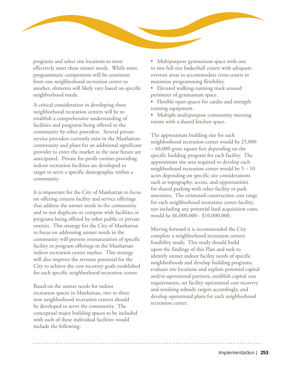

programs and select site locations to most effectively meet these unmet needs. While some programmatic components will be consistent from one neighborhood recreation center to another, elements will likely vary based on specific neighborhood needs.

A critical consideration in developing these neighborhood recreation centers will be to establish a comprehensive understanding of facilities and programs being offered to the community by other providers. Several private service providers currently exist in the Manhattan community and plans for an additional significant provider to enter the market in the near future are anticipated. Private for-profit entities providing indoor recreation facilities are developed to target to serve a specific demographic within a community.

It is important for the City of Manhattan to focus on offering citizens facility and service offerings that address the unmet needs in the community and to not duplicate or compete with facilities or programs being offered by other public or private entities. This strategy for the City of Manhattan to focus on addressing unmet needs in the community will prevent oversaturation of specific facility or program offerings in the Manhattan indoor recreation center market. This strategy will also improve the revenue potential for the City to achieve the cost-recovery goals established for each specific neighborhood recreation center.

Based on the unmet needs for indoor recreation spaces in Manhattan, two to three new neighborhood recreation centers should be developed to serve the community. The conceptual major building spaces to be included with each of these individual facilities would include the following:

• Multipurpose gymnasium space with one to two full-size basketball courts with adequate overrun areas to accommodate cross-courts to maximize programming flexibility.

• Elevated walking-running track around perimeter of gymnasium space.

• Flexible open spaces for cardio and strength training equipment.

• Multiple multipurpose community meeting rooms with a shared kitchen space.

The approximate building size for each neighborhood recreation center would be 25,000 – 40,000 gross square feet depending on the specific building program for each facility. The approximate site area required to develop each neighborhood recreation center would be 5 – 10 acres depending on specific site considerations such as topography, access, and opportunities for shared parking with other facility or park amenities. The estimated construction cost range for each neighborhood recreation center facility, not including any potential land acquisition costs, would be \$6,000,000 - \$10,000,000.

Moving forward it is recommended the City complete a neighborhood recreation centers feasibility study. This study should build upon the findings of this Plan and seek to identify unmet indoor facility needs of specific neighborhoods and develop building programs, evaluate site locations and explore potential capital and/or operational partners, establish capital cost requirements, set facility operational cost recovery and resulting subsidy targets accordingly, and develop operational plans for each neighborhood recreation center.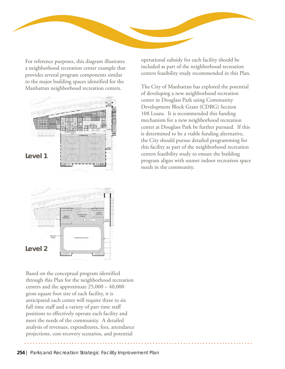

For reference purposes, this diagram illustrates a neighborhood recreation center example that provides several program components similar to the major building spaces identified for the Manhattan neighborhood recreation centers.



operational subsidy for each facility should be included as part of the neighborhood recreation centers feasibility study recommended in this Plan.

The City of Manhattan has explored the potential of developing a new neighborhood recreation center in Douglass Park using Community Development Block Grant (CDBG) Section 108 Loans. It is recommended this funding mechanism for a new neighborhood recreation center at Douglass Park be further pursued. If this is determined to be a viable funding alternative, the City should pursue detailed programming for this facility as part of the neighborhood recreation centers feasibility study to ensure the building program aligns with unmet indoor recreation space needs in the community.



Based on the conceptual program identified through this Plan for the neighborhood recreation centers and the approximate 25,000 – 40,000 gross square foot size of each facility, it is anticipated each center will require three to six full time staff and a variety of part time staff positions to effectively operate each facility and meet the needs of the community. A detailed analysis of revenues, expenditures, fees, attendance projections, cost-recovery scenarios, and potential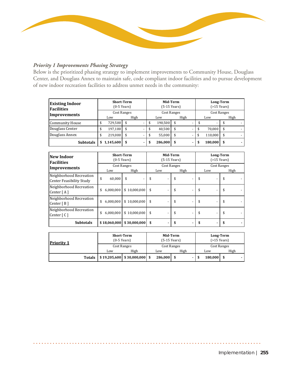

## *Priority 1 Improvements Phasing Strategy*

Below is the prioritized phasing strategy to implement improvements to Community House, Douglass Center, and Douglass Annex to maintain safe, code compliant indoor facilities and to pursue development of new indoor recreation facilities to address unmet needs in the community:

| <b>Existing Indoor</b><br>Facilities |                                     | <b>Short-Term</b><br>$(0-5$ Years) |               | Mid-Term<br>$(5-15$ Years) |   |      | Long-Term<br>$( > 15$ Years) |         |      |  |  |  |
|--------------------------------------|-------------------------------------|------------------------------------|---------------|----------------------------|---|------|------------------------------|---------|------|--|--|--|
|                                      |                                     | <b>Cost Ranges</b>                 |               | Cost Ranges                |   |      | Cost Ranges                  |         |      |  |  |  |
| Improvements                         |                                     | Low                                | High          | Low                        |   | High |                              | Low     | High |  |  |  |
| <b>Community House</b>               | 729.500<br>$\overline{\phantom{a}}$ |                                    | \$<br>190,500 |                            |   |      | $\overline{\phantom{0}}$     |         |      |  |  |  |
| Douglass Center                      | \$                                  | 197,100                            | -             | \$<br>40,500               |   |      |                              | 70.000  |      |  |  |  |
| Douglass Annex                       | \$                                  | 219,000                            | -             | \$<br>55,000               |   |      | \$                           | 110,000 |      |  |  |  |
| <b>Subtotals</b>                     |                                     | 1,145,600                          |               | \$<br>286,000              | S |      | S                            | 180,000 |      |  |  |  |

| New Indoor<br><b>Facilities</b>                     | Mid-Term<br><b>Short-Term</b><br>Long-Term<br>$( > 15$ Years)<br>$(0-5$ Years)<br>$(5-15$ Years)<br><b>Cost Ranges</b><br><b>Cost Ranges</b><br><b>Cost Ranges</b><br>High<br>High<br>Low<br>Low<br>Low<br>\$<br>60,000<br>\$<br>\$<br>\$<br>\$<br>\$10,000,000<br>\$<br>\$<br>6,000,000<br>\$<br>\$10,000,000<br>6,000,000<br>\$<br>\$<br>\$<br>\$ |                  |          |    |      |
|-----------------------------------------------------|-----------------------------------------------------------------------------------------------------------------------------------------------------------------------------------------------------------------------------------------------------------------------------------------------------------------------------------------------------|------------------|----------|----|------|
| Improvements                                        |                                                                                                                                                                                                                                                                                                                                                     |                  |          |    | High |
| Neighborhood Recreation<br>Center Feasibility Study |                                                                                                                                                                                                                                                                                                                                                     |                  |          |    |      |
| Neighborhood Recreation<br>Center $[A]$             |                                                                                                                                                                                                                                                                                                                                                     |                  |          |    |      |
| Neighborhood Recreation<br>Center $[ B ]$           |                                                                                                                                                                                                                                                                                                                                                     |                  |          |    |      |
| Neighborhood Recreation<br>Center $\lceil C \rceil$ | 6,000,000<br>\$                                                                                                                                                                                                                                                                                                                                     | \$10,000,000     | \$<br>\$ | \$ | \$   |
| <b>Subtotals</b>                                    | \$18,060,000                                                                                                                                                                                                                                                                                                                                        | $$30,000,000$ \$ |          |    |      |

| <b>Priority 1</b> | <b>Short-Term</b><br>$(0-5$ Years) |                                          |             | Mid-Term<br>$(5-15$ Years) | Long-Term<br>$( >15$ Years) |             |         |      |  |  |  |
|-------------------|------------------------------------|------------------------------------------|-------------|----------------------------|-----------------------------|-------------|---------|------|--|--|--|
|                   |                                    |                                          | Cost Ranges |                            | Cost Ranges                 | Cost Ranges |         |      |  |  |  |
|                   |                                    | Low                                      | High        | Low                        | High                        |             | Low     | High |  |  |  |
|                   | <b>Totals</b>                      | $\vert$ \$19,205,600   \$30,000,000   \$ |             | 286,000                    |                             |             | 180.000 |      |  |  |  |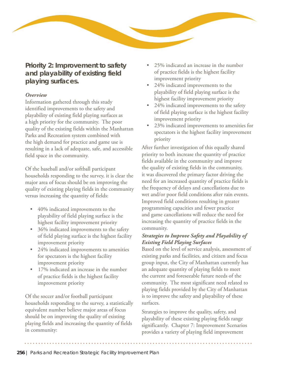

**Priority 2: Improvement to safety and playability of existing field playing surfaces.**

#### *Overview*

Information gathered through this study identified improvements to the safety and playability of existing field playing surfaces as a high priority for the community. The poor quality of the existing fields within the Manhattan Parks and Recreation system combined with the high demand for practice and game use is resulting in a lack of adequate, safe, and accessible field space in the community.

Of the baseball and/or softball participant households responding to the survey, it is clear the major area of focus should be on improving the quality of existing playing fields in the community versus increasing the quantity of fields:

- 40% indicated improvements to the playability of field playing surface is the highest facility improvement priority
- 36% indicated improvements to the safety of field playing surface is the highest facility improvement priority
- 24% indicated improvements to amenities for spectators is the highest facility improvement priority
- 17% indicated an increase in the number of practice fields is the highest facility improvement priority

Of the soccer and/or football participant households responding to the survey, a statistically equivalent number believe major areas of focus should be on improving the quality of existing playing fields and increasing the quantity of fields in community:

- 25% indicated an increase in the number of practice fields is the highest facility improvement priority
- 24% indicated improvements to the playability of field playing surface is the highest facility improvement priority
- 24% indicated improvements to the safety of field playing surface is the highest facility improvement priority
- 23% indicated improvements to amenities for spectators is the highest facility improvement priority

After further investigation of this equally shared priority to both increase the quantity of practice fields available in the community and improve the quality of existing fields in the community, it was discovered the primary factor driving the need for an increased quantity of practice fields is the frequency of delays and cancellations due to wet and/or poor field conditions after rain events. Improved field conditions resulting in greater programming capacities and fewer practice and game cancellations will reduce the need for increasing the quantity of practice fields in the community.

#### *Strategies to Improve Safety and Playability of Existing Field Playing Surfaces*

Based on the level of service analysis, assessment of existing parks and facilities, and citizen and focus group input, the City of Manhattan currently has an adequate quantity of playing fields to meet the current and foreseeable future needs of the community. The most significant need related to playing fields provided by the City of Manhattan is to improve the safety and playability of these surfaces.

Strategies to improve the quality, safety, and playability of these existing playing fields range significantly. Chapter 7: Improvement Scenarios provides a variety of playing field improvement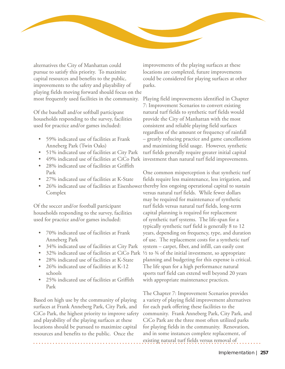

alternatives the City of Manhattan could pursue to satisfy this priority. To maximize capital resources and benefits to the public, improvements to the safety and playability of playing fields moving forward should focus on the most frequently used facilities in the community.

Of the baseball and/or softball participant households responding to the survey, facilities used for practice and/or games included:

- 59% indicated use of facilities at Frank Anneberg Park (Twin Oaks)
- 51% indicated use of facilities at City Park
- 
- 28% indicated use of facilities at Griffith Park
- 27% indicated use of facilities at K-State
- Complex

Of the soccer and/or football participant households responding to the survey, facilities used for practice and/or games included:

- 70% indicated use of facilities at Frank Anneberg Park
- 34% indicated use of facilities at City Park
- 32% indicated use of facilities at CiCo Park
- 28% indicated use of facilities at K-State
- 26% indicated use of facilities at K-12 schools
- 25% indicated use of facilities at Griffith Park

Based on high use by the community of playing surfaces at Frank Anneberg Park, City Park, and CiCo Park, the highest priority to improve safety and playability of the playing surfaces at these locations should be pursued to maximize capital resources and benefits to the public. Once the

improvements of the playing surfaces at these locations are completed, future improvements could be considered for playing surfaces at other parks.

• 49% indicated use of facilities at CiCo Park investment than natural turf field improvements. Playing field improvements identified in Chapter 7: Improvement Scenarios to convert existing natural turf fields to synthetic turf fields would provide the City of Manhattan with the most consistent and reliable playing field surfaces regardless of the amount or frequency of rainfall – greatly reducing practice and game cancellations and maximizing field usage. However, synthetic turf fields generally require greater initial capital

• 26% indicated use of facilities at Eisenhower thereby less ongoing operational capital to sustain One common misperception is that synthetic turf fields require less maintenance, less irrigation, and versus natural turf fields. While fewer dollars may be required for maintenance of synthetic turf fields versus natural turf fields, long-term capital planning is required for replacement of synthetic turf systems. The life-span for a typically synthetic turf field is generally 8 to 12 years, depending on frequency, type, and duration of use. The replacement costs for a synthetic turf system – carpet, fiber, and infill, can easily cost  $\frac{1}{2}$  to  $\frac{3}{4}$  of the initial investment, so appropriate planning and budgeting for this expense is critical. The life span for a high performance natural sports turf field can extend well beyond 20 years with appropriate maintenance practices.

> The Chapter 7: Improvement Scenarios provides a variety of playing field improvement alternatives for each park offering these facilities to the community. Frank Anneberg Park, City Park, and CiCo Park are the three most often utilized parks for playing fields in the community. Renovation, and in some instances complete replacement, of existing natural turf fields versus removal of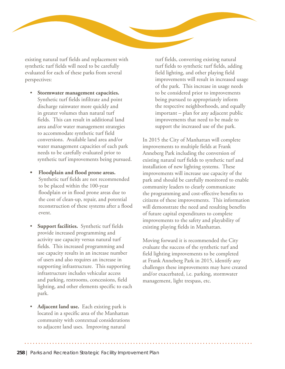

existing natural turf fields and replacement with synthetic turf fields will need to be carefully evaluated for each of these parks from several perspectives:

- **Stormwater management capacities.** Synthetic turf fields infiltrate and point discharge rainwater more quickly and in greater volumes than natural turf fields. This can result in additional land area and/or water management strategies to accommodate synthetic turf field conversions. Available land area and/or water management capacities of each park needs to be carefully evaluated prior to synthetic turf improvements being pursued.
- **• Floodplain and flood prone areas.**  Synthetic turf fields are not recommended to be placed within the 100-year floodplain or in flood prone areas due to the cost of clean-up, repair, and potential reconstruction of these systems after a flood event.
- **Support facilities.** Synthetic turf fields provide increased programming and activity use capacity versus natural turf fields. This increased programming and use capacity results in an increase number of users and also requires an increase in supporting infrastructure. This supporting infrastructure includes vehicular access and parking, restrooms, concessions, field lighting, and other elements specific to each park.
- **Adjacent land use.** Each existing park is located in a specific area of the Manhattan community with contextual considerations to adjacent land uses. Improving natural

turf fields, converting existing natural turf fields to synthetic turf fields, adding field lighting, and other playing field improvements will result in increased usage of the park. This increase in usage needs to be considered prior to improvements being pursued to appropriately inform the respective neighborhoods, and equally important – plan for any adjacent public improvements that need to be made to support the increased use of the park.

In 2015 the City of Manhattan will complete improvements to multiple fields at Frank Anneberg Park including the conversion of existing natural turf fields to synthetic turf and installation of new lighting systems. These improvements will increase use capacity of the park and should be carefully monitored to enable community leaders to clearly communicate the programming and cost-effective benefits to citizens of these improvements. This information will demonstrate the need and resulting benefits of future capital expenditures to complete improvements to the safety and playability of existing playing fields in Manhattan.

Moving forward it is recommended the City evaluate the success of the synthetic turf and field lighting improvements to be completed at Frank Anneberg Park in 2015, identify any challenges these improvements may have created and/or exacerbated, i.e. parking, stormwater management, light trespass, etc.

**258** | Parks and Recreation Strategic Facility Improvement Plan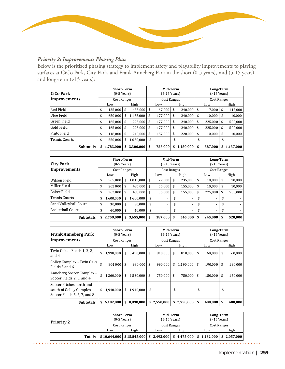

#### *Priority 2: Improvements Phasing Plan*

Below is the prioritized phasing strategy to implement safety and playability improvements to playing surfaces at CiCo Park, City Park, and Frank Anneberg Park in the short (0-5 years), mid (5-15 years), and long-term (>15 years):

| lCiCo Park           | <b>Short-Term</b><br>$(0-5$ Years) |                 | Mid-Term<br>(5-15 Years) |                 | Long-Term<br>$( > 15$ Years) |                    |    |           |  |  |
|----------------------|------------------------------------|-----------------|--------------------------|-----------------|------------------------------|--------------------|----|-----------|--|--|
| Improvements         | <b>Cost Ranges</b>                 |                 | Cost Ranges              |                 |                              | <b>Cost Ranges</b> |    |           |  |  |
|                      | Low                                | High            | Low                      | High            |                              | Low                |    | High      |  |  |
| <b>Red Field</b>     | \$<br>135,000                      | \$<br>435,000   | \$<br>67,000             | \$<br>240,000   | \$                           | 117,000            | \$ | 117,000   |  |  |
| <b>Blue Field</b>    | \$<br>650,000                      | \$<br>1,155,000 | \$<br>177,000            | \$<br>240,000   | \$                           | 10,000             | \$ | 10,000    |  |  |
| <b>Green Field</b>   | \$<br>165,000                      | \$<br>225,000   | \$<br>177,000            | \$<br>240,000   | \$                           | 225,000            | \$ | 500,000   |  |  |
| Gold Field           | \$<br>165.000                      | \$<br>225.000   | \$<br>177,000            | \$<br>240.000   | \$                           | 225,000            | \$ | 500,000   |  |  |
| Pluto Field          | \$<br>118.000                      | \$<br>210,000   | \$<br>157.000            | \$<br>220.000   | \$                           | 10,000             | \$ | 10,000    |  |  |
| <b>Tennis Courts</b> | \$<br>550.000                      | \$<br>1,050,000 | \$<br>-                  |                 |                              |                    |    |           |  |  |
| <b>Subtotals</b>     | \$<br>1,783,000                    | \$<br>3,300,000 | \$<br>755,000            | \$<br>1,180,000 | \$                           | 587,000            | \$ | 1,137,000 |  |  |

| <b>City Park</b>        |     | <b>Short-Term</b><br>$(0-5$ Years) |                                                                |           |    | Mid-Term<br>(5-15 Years) |    |         |    | Long-Term<br>$( > 15$ Years) |    |         |
|-------------------------|-----|------------------------------------|----------------------------------------------------------------|-----------|----|--------------------------|----|---------|----|------------------------------|----|---------|
| <b>Improvements</b>     |     |                                    | <b>Cost Ranges</b><br><b>Cost Ranges</b><br><b>Cost Ranges</b> |           |    |                          |    |         |    |                              |    |         |
|                         | Low |                                    |                                                                | High      |    | Low                      |    | High    |    | Low                          |    | High    |
| Wilson Field            | S   | 565,000                            | \$                                                             | 1,015,000 | \$ | 77,000                   | \$ | 235,000 | \$ | 10,000                       | \$ | 10,000  |
| MIller Field            | \$  | 262,000                            | \$                                                             | 485,000   | \$ | 55,000                   | \$ | 155,000 | \$ | 10,000                       | \$ | 10,000  |
| <b>Baker Field</b>      | \$  | 262,000                            | S                                                              | 485,000   | \$ | 55,000                   | \$ | 155,000 | \$ | 225,000                      | \$ | 500,000 |
| <b>Tennis Courts</b>    | \$  | 1,600,000                          | \$                                                             | 1,600,000 | \$ |                          |    |         |    |                              |    |         |
| Sand Volleyball Court   | \$  | 30,000                             | S                                                              | 30,000    | \$ |                          |    |         | \$ |                              | \$ |         |
| <b>Basketball Court</b> | \$  | 40,000                             | \$                                                             | 40.000    | \$ |                          |    |         |    |                              |    |         |
| <b>Subtotals</b>        | \$  | 2,759,000                          | \$                                                             | 3,655,000 | \$ | 187,000                  |    | 545,000 |    | 245,000                      | \$ | 520,000 |

| <b>Frank Anneberg Park</b>                                                            | <b>Short-Term</b><br>$(0-5$ Years) |                  | Mid-Term<br>$(5-15$ Years) |     |             | Long-Term<br>$( >15$ Years) |             |    |         |  |  |
|---------------------------------------------------------------------------------------|------------------------------------|------------------|----------------------------|-----|-------------|-----------------------------|-------------|----|---------|--|--|
| <b>Improvements</b><br>Twin Oaks - Fields 1, 2, 3,                                    | Cost Ranges                        |                  | <b>Cost Ranges</b>         |     |             |                             | Cost Ranges |    |         |  |  |
|                                                                                       | Low                                | High             | Low                        |     | High        |                             | Low         |    | High    |  |  |
| and 4                                                                                 | \$<br>1,998,000                    | \$<br>3,490,000  | \$<br>810,000              | \$  | 810,000     | \$                          | 60,000      | \$ | 60,000  |  |  |
| Colley Complex - Twin Oaks<br>Fields 5 and 6                                          | \$<br>804,000                      | \$<br>930,000 \$ | 990.000                    | \$  | 1,190,000   | \$                          | 190,000     | \$ | 190,000 |  |  |
| Anneberg Soccer Complex -<br>Soccer Fields 2, 3, and 4                                | \$<br>1,360,000                    | \$<br>2,530,000  | \$<br>750,000              | -\$ | 750,000     | \$                          | 150,000     | \$ | 150,000 |  |  |
| Soccer Pitches north and<br>south of Colley Complex -<br>Soccer Fields 5, 6, 7, and 8 | \$<br>1,940,000                    | \$<br>1.940.000  | \$                         | \$  |             | \$                          | $\sim$      | \$ |         |  |  |
| <b>Subtotals</b>                                                                      | \$<br>6,102,000                    | \$<br>8,890,000  | \$2,550,000                |     | \$2,750,000 | \$                          | 400,000     | \$ | 400,000 |  |  |

| <b>Priority 2</b> | <b>Short-Term</b> | $(0-5$ Years)       | $(5-15$ Years)                                        | Mid-Term            | Long-Term<br>$( >15$ Years) |                                 |  |  |  |  |
|-------------------|-------------------|---------------------|-------------------------------------------------------|---------------------|-----------------------------|---------------------------------|--|--|--|--|
|                   | Low.              | Cost Ranges<br>High | Low                                                   | Cost Ranges<br>High | <b>LOW</b>                  | Cost Ranges<br>High             |  |  |  |  |
| <b>Totals</b>     |                   |                     | $$10,644,000$ $$15,845,000$ $$3,492,000$ $$4,475,000$ |                     |                             | $$1,232,000 \;   \; $2,057,000$ |  |  |  |  |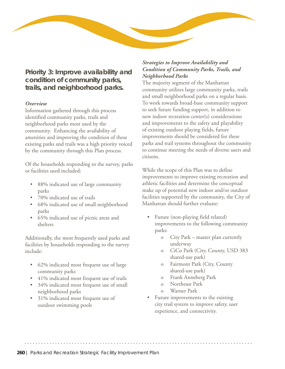

## **Priority 3: Improve availability and condition of community parks, trails, and neighborhood parks.**

#### *Overview*

Information gathered through this process identified community parks, trails and neighborhood parks most used by the community. Enhancing the availability of amenities and improving the condition of these existing parks and trails was a high priority voiced by the community through this Plan process.

Of the households responding to the survey, parks or facilities used included:

- 88% indicated use of large community parks
- 70% indicated use of trails
- 68% indicated use of small neighborhood parks
- 65% indicated use of picnic areas and shelters

Additionally, the most frequently used parks and facilities by households responding to the survey include:

- 62% indicated most frequent use of large community parks
- 41% indicated most frequent use of trails
- 34% indicated most frequent use of small neighborhood parks
- 31% indicated most frequent use of outdoor swimming pools

#### *Strategies to Improve Availability and Condition of Community Parks, Trails, and Neighborhood Parks*

The majority segment of the Manhattan community utilizes large community parks, trails and small neighborhood parks on a regular basis. To work towards broad-base community support to seek future funding support, in addition to new indoor recreation center(s) considerations and improvements to the safety and playability of existing outdoor playing fields, future improvements should be considered for these parks and trail systems throughout the community to continue meeting the needs of diverse users and citizens.

While the scope of this Plan was to define improvements to improve existing recreation and athletic facilities and determine the conceptual make up of potential new indoor and/or outdoor facilities supported by the community, the City of Manhattan should further evaluate:

- Future (non-playing field related) improvements to the following community parks:
	- o City Park master plan currently underway
	- o CiCo Park (City, County, USD 383 shared-use park)
	- o Fairmont Park (City, County shared-use park)
	- o Frank Anneberg Park
	- o Northeast Park
	- o Warner Park
- Future improvements to the existing city trail system to improve safety, user experience, and connectivity.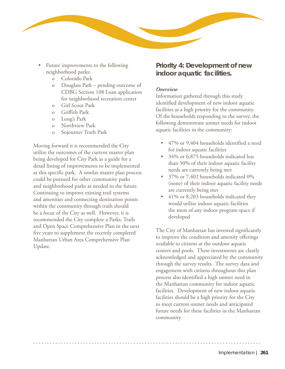

- Future improvements to the following neighborhood parks:
	- o Colorado Park
	- o Douglass Park pending outcome of CDBG Section 108 Loan application for neighborhood recreation center
	- o Girl Scout Park
	- o Griffith Park
	- o Long's Park
	- o Northview Park
	- o Sojourner Truth Park

Moving forward it is recommended the City utilize the outcomes of the current master plan being developed for City Park as a guide for a detail listing of improvements to be implemented at this specific park. A similar master plan process could be pursued for other community parks and neighborhood parks as needed in the future. Continuing to improve existing trail systems and amenities and connecting destination points within the community through trails should be a focus of the City as well. However, it is recommended the City complete a Parks, Trails and Open Space Comprehensive Plan in the next five years to supplement the recently completed Manhattan Urban Area Comprehensive Plan Update.

## **Priority 4: Development of new indoor aquatic facilities.**

#### *Overview*

Information gathered through this study identified development of new indoor aquatic facilities as a high priority for the community. Of the households responding to the survey, the following demonstrate unmet needs for indoor aquatic facilities in the community:

- 47% or 9,404 households identified a need for indoor aquatic facilities
- 34% or 6,875 households indicated less than 50% of their indoor aquatic facility needs are currently being met
- 37% or 7,402 households indicated 0% (none) of their indoor aquatic facility needs are currently being met
- 41% or 8,203 households indicated they would utilize indoor aquatic facilities the most of any indoor program space if developed

The City of Manhattan has invested significantly to improve the condition and amenity offerings available to citizens at the outdoor aquatic centers and pools. These investments are clearly acknowledged and appreciated by the community through the survey results. The survey data and engagement with citizens throughout this plan process also identified a high unmet need in the Manhattan community for indoor aquatic facilities. Development of new indoor aquatic facilities should be a high priority for the City to meet current unmet needs and anticipated future needs for these facilities in the Manhattan community.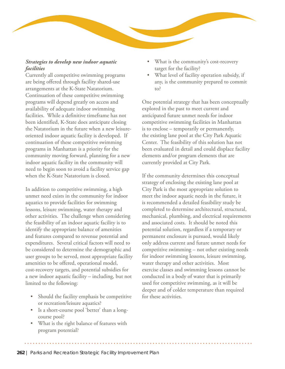#### *Strategies to develop new indoor aquatic facilities*

Currently all competitive swimming programs are being offered through facility shared-use arrangements at the K-State Natatorium. Continuation of these competitive swimming programs will depend greatly on access and availability of adequate indoor swimming facilities. While a definitive timeframe has not been identified, K-State does anticipate closing the Natatorium in the future when a new leisureoriented indoor aquatic facility is developed. If continuation of these competitive swimming programs in Manhattan is a priority for the community moving forward, planning for a new indoor aquatic facility in the community will need to begin soon to avoid a facility service gap when the K-State Natatorium is closed.

In addition to competitive swimming, a high unmet need exists in the community for indoor aquatics to provide facilities for swimming lessons, leisure swimming, water therapy and other activities. The challenge when considering the feasibility of an indoor aquatic facility is to identify the appropriate balance of amenities and features compared to revenue potential and expenditures. Several critical factors will need to be considered to determine the demographic and user groups to be served, most appropriate facility amenities to be offered, operational model, cost-recovery targets, and potential subsidies for a new indoor aquatic facility – including, but not limited to the following:

- Should the facility emphasis be competitive or recreation/leisure aquatics?
- Is a short-course pool 'better' than a longcourse pool?
- What is the right balance of features with program potential?
- What is the community's cost-recovery target for the facility?
- What level of facility operation subsidy, if any, is the community prepared to commit to?

One potential strategy that has been conceptually explored in the past to meet current and anticipated future unmet needs for indoor competitive swimming facilities in Manhattan is to enclose – temporarily or permanently, the existing lane pool at the City Park Aquatic Center. The feasibility of this solution has not been evaluated in detail and could displace facility elements and/or program elements that are currently provided at City Park.

If the community determines this conceptual strategy of enclosing the existing lane pool at City Park is the most appropriate solution to meet the indoor aquatic needs in the future, it is recommended a detailed feasibility study be completed to determine architectural, structural, mechanical, plumbing, and electrical requirements and associated costs. It should be noted this potential solution, regardless if a temporary or permanent enclosure is pursued, would likely only address current and future unmet needs for competitive swimming – not other existing needs for indoor swimming lessons, leisure swimming, water therapy and other activities. Most exercise classes and swimming lessons cannot be conducted in a body of water that is primarily used for competitive swimming, as it will be deeper and of colder temperature than required for these activities.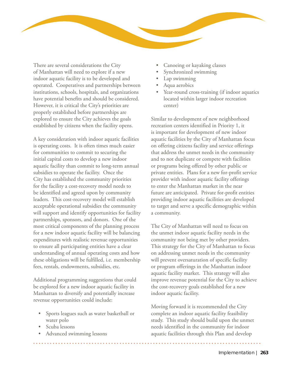

There are several considerations the City of Manhattan will need to explore if a new indoor aquatic facility is to be developed and operated. Cooperatives and partnerships between institutions, schools, hospitals, and organizations have potential benefits and should be considered. However, it is critical the City's priorities are properly established before partnerships are explored to ensure the City achieves the goals established by citizens when the facility opens.

A key consideration with indoor aquatic facilities is operating costs. It is often times much easier for communities to commit to securing the initial capital costs to develop a new indoor aquatic facility than commit to long-term annual subsidies to operate the facility. Once the City has established the community priorities for the facility a cost-recovery model needs to be identified and agreed upon by community leaders. This cost-recovery model will establish acceptable operational subsidies the community will support and identify opportunities for facility partnerships, sponsors, and donors. One of the most critical components of the planning process for a new indoor aquatic facility will be balancing expenditures with realistic revenue opportunities to ensure all participating entities have a clear understanding of annual operating costs and how these obligations will be fulfilled, i.e. membership fees, rentals, endowments, subsidies, etc.

Additional programming suggestions that could be explored for a new indoor aquatic facility in Manhattan to diversify and potentially increase revenue opportunities could include:

- Sports leagues such as water basketball or water polo
- Scuba lessons
- Advanced swimming lessons
- Canoeing or kayaking classes
- Synchronized swimming
- Lap swimming
- Aqua aerobics
- Year-round cross-training (if indoor aquatics located within larger indoor recreation center)

Similar to development of new neighborhood recreation centers identified in Priority 1, it is important for development of new indoor aquatic facilities by the City of Manhattan focus on offering citizens facility and service offerings that address the unmet needs in the community and to not duplicate or compete with facilities or programs being offered by other public or private entities. Plans for a new for-profit service provider with indoor aquatic facility offerings to enter the Manhattan market in the near future are anticipated. Private for-profit entities providing indoor aquatic facilities are developed to target and serve a specific demographic within a community.

The City of Manhattan will need to focus on the unmet indoor aquatic facility needs in the community not being met by other providers. This strategy for the City of Manhattan to focus on addressing unmet needs in the community will prevent oversaturation of specific facility or program offerings in the Manhattan indoor aquatic facility market. This strategy will also improve revenue potential for the City to achieve the cost-recovery goals established for a new indoor aquatic facility.

Moving forward it is recommended the City complete an indoor aquatic facility feasibility study. This study should build upon the unmet needs identified in the community for indoor aquatic facilities through this Plan and develop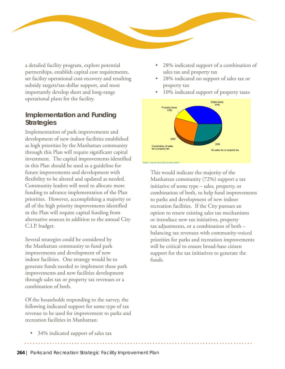

a detailed facility program, explore potential partnerships, establish capital cost requirements, set facility operational cost-recovery and resulting subsidy targets/tax-dollar support, and most importantly develop short and long-range operational plans for the facility.

## **Implementation and Funding Strategies**

Implementation of park improvements and development of new indoor facilities established as high priorities by the Manhattan community through this Plan will require significant capital investment. The capital improvements identified in this Plan should be used as a guideline for future improvements and development with flexibility to be altered and updated as needed. Community leaders will need to allocate more funding to advance implementation of the Plan priorities. However, accomplishing a majority or all of the high priority improvements identified in the Plan will require capital funding from alternative sources in addition to the annual City C.I.P. budget.

Several strategies could be considered by the Manhattan community to fund park improvements and development of new indoor facilities. One strategy would be to generate funds needed to implement these park improvements and new facilities development through sales tax or property tax revenues or a combination of both.

Of the households responding to the survey, the following indicated support for some type of tax revenue to be used for improvement to parks and recreation facilities in Manhattan:

- 28% indicated support of a combination of sales tax and property tax
- 28% indicated no support of sales tax or property tax
- 10% indicated support of property taxes



This would indicate the majority of the Manhattan community (72%) support a tax initiative of some type – sales, property, or combination of both, to help fund improvements to parks and development of new indoor recreation facilities. If the City pursues an option to renew existing sales tax mechanisms or introduce new tax initiatives, property tax adjustments, or a combination of both – balancing tax revenues with community-voiced priorities for parks and recreation improvements will be critical to ensure broad-base citizen support for the tax initiatives to generate the funds.

• 34% indicated support of sales tax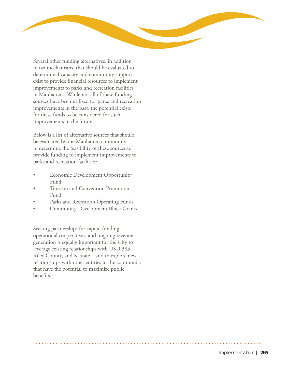

Several other funding alternatives, in addition to tax mechanisms, that should be evaluated to determine if capacity and community support exist to provide financial resources to implement improvements to parks and recreation facilities in Manhattan. While not all of these funding sources have been utilized for parks and recreation improvements in the past, the potential exists for these funds to be considered for such improvements in the future.

Below is a list of alternative sources that should be evaluated by the Manhattan community to determine the feasibility of these sources to provide funding to implement improvements to parks and recreation facilities:

- **Economic Development Opportunity** Fund
- Tourism and Convention Promotion Fund
- Parks and Recreation Operating Funds
- Community Development Block Grants

Seeking partnerships for capital funding, operational cooperatives, and ongoing revenue generation is equally important for the City to leverage existing relationships with USD 383, Riley County, and K-State – and to explore new relationships with other entities in the community that have the potential to maximize public benefits.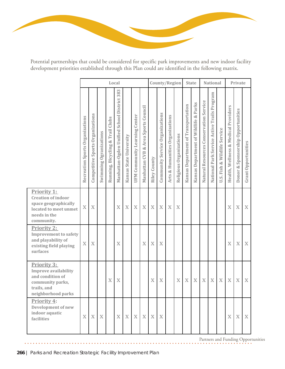

Potential partnerships that could be considered for specific park improvements and new indoor facility development priorities established through this Plan could are identified in the following matrix.

|                                                                                                                         |                                 |                                  |                           |                                  | Local                                          |                         |                                      |                                           |                     |                                 | County/Region                   |                         |                                     | <b>State</b>                             |                                        | <b>National</b>                             |                                 |                                      | Private                           |  |
|-------------------------------------------------------------------------------------------------------------------------|---------------------------------|----------------------------------|---------------------------|----------------------------------|------------------------------------------------|-------------------------|--------------------------------------|-------------------------------------------|---------------------|---------------------------------|---------------------------------|-------------------------|-------------------------------------|------------------------------------------|----------------------------------------|---------------------------------------------|---------------------------------|--------------------------------------|-----------------------------------|--|
|                                                                                                                         | Recreation Sports Organizations | Competitive Sports Organizations | Swimming Ogranizations    | Running, Bicycling & Trail Clubs | 383<br>Manhattan-Ogden Unified School District | Kansas State University | <b>UFM Community Learning Center</b> | Area Sports Council<br>ಳ<br>Manhattan CVB | <b>Riley County</b> | Community Service Organizations | Arts & Humanities Organizations | Religious Organizations | Kansas Department of Transportation | & Parks<br>Kansas Department of Wildlife | Natural Resources Conservation Service | National Park Service Active Trails Program | Fish & Wildlife Service<br>U.S. | Health, Wellness & Medical Providers | Donor & Sponsorship Opportunities |  |
| Priority 1:<br><b>Creation of indoor</b><br>space geographically<br>located to meet unmet<br>needs in the<br>community. | $\mathbf X$                     | X                                |                           |                                  | X                                              | $\bar{X}$               | $\boldsymbol{\mathrm{X}}$            | $\mathbf X$                               | $\bar{X}$           | $\mathbf X$                     | $\boldsymbol{X}$                | X                       |                                     |                                          |                                        |                                             |                                 | $\mathbf X$                          | X                                 |  |
| Priority 2:<br><b>Improvement to safety</b><br>and playability of<br>existing field playing<br>surfaces                 | $\mathbf X$                     | $\mathbf X$                      |                           |                                  | X                                              |                         |                                      | X                                         | X                   | $\mathbf X$                     |                                 |                         |                                     |                                          |                                        |                                             |                                 | $\mathbf X$                          | $\mathbf X$                       |  |
| Priority 3:<br><b>Improve availability</b><br>and condition of<br>community parks,<br>trails, and<br>neighborhood parks |                                 |                                  |                           | X                                | X                                              |                         |                                      |                                           | X                   | $\mathbf X$                     |                                 | X                       | X                                   | X                                        | X                                      | $\mathbf X$                                 | $\boldsymbol{\mathrm{X}}$       | $\mathbf X$                          | X                                 |  |
| Priority 4:<br><b>Development of new</b><br>indoor aquatic<br>facilities                                                | $\mathbf X$                     | $\mathbf X$                      | $\boldsymbol{\mathrm{X}}$ |                                  | $\mathbf X$                                    | $\mathbf X$             | X                                    | X                                         | $\mathbf X$         | $\mathbf X$                     |                                 |                         |                                     |                                          |                                        |                                             |                                 | $\mathbf X$                          | $\mathbf X$                       |  |

Partners and Funding Opportunities